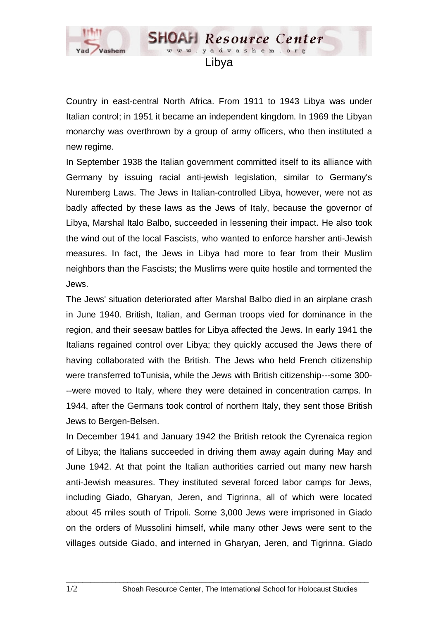

Country in east-central North Africa. From 1911 to 1943 Libya was under Italian control; in 1951 it became an independent kingdom. In 1969 the Libyan monarchy was overthrown by a group of army officers, who then instituted a new regime.

In September 1938 the Italian government committed itself to its alliance with Germany by issuing racial anti-jewish legislation, similar to Germany's Nuremberg Laws. The Jews in Italian-controlled Libya, however, were not as badly affected by these laws as the Jews of Italy, because the governor of Libya, Marshal Italo Balbo, succeeded in lessening their impact. He also took the wind out of the local Fascists, who wanted to enforce harsher anti-Jewish measures. In fact, the Jews in Libya had more to fear from their Muslim neighbors than the Fascists; the Muslims were quite hostile and tormented the Jews.

The Jews' situation deteriorated after Marshal Balbo died in an airplane crash in June 1940. British, Italian, and German troops vied for dominance in the region, and their seesaw battles for Libya affected the Jews. In early 1941 the Italians regained control over Libya; they quickly accused the Jews there of having collaborated with the British. The Jews who held French citizenship were transferred toTunisia, while the Jews with British citizenship---some 300- --were moved to Italy, where they were detained in concentration camps. In 1944, after the Germans took control of northern Italy, they sent those British Jews to Bergen-Belsen.

In December 1941 and January 1942 the British retook the Cyrenaica region of Libya; the Italians succeeded in driving them away again during May and June 1942. At that point the Italian authorities carried out many new harsh anti-Jewish measures. They instituted several forced labor camps for Jews, including Giado, Gharyan, Jeren, and Tigrinna, all of which were located about 45 miles south of Tripoli. Some 3,000 Jews were imprisoned in Giado on the orders of Mussolini himself, while many other Jews were sent to the villages outside Giado, and interned in Gharyan, Jeren, and Tigrinna. Giado

 $\_$  ,  $\_$  ,  $\_$  ,  $\_$  ,  $\_$  ,  $\_$  ,  $\_$  ,  $\_$  ,  $\_$  ,  $\_$  ,  $\_$  ,  $\_$  ,  $\_$  ,  $\_$  ,  $\_$  ,  $\_$  ,  $\_$  ,  $\_$  ,  $\_$